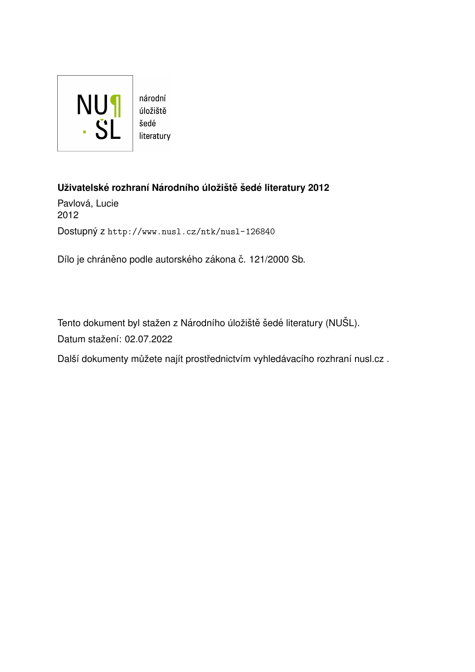

#### **Uˇzivatelske rozhran´ı N ´ arodn´ıho ´uloˇzi ´ stˇ eˇ sed ˇ e literatury 2012 ´**

Pavlová, Lucie 2012 Dostupný z <http://www.nusl.cz/ntk/nusl-126840>

Dílo je chráněno podle autorského zákona č. 121/2000 Sb.

Tento dokument byl stažen z Národního úložiště šedé literatury (NUŠL). Datum stažení: 02.07.2022

Další dokumenty můžete najít prostřednictvím vyhledávacího rozhraní [nusl.cz](http://www.nusl.cz) .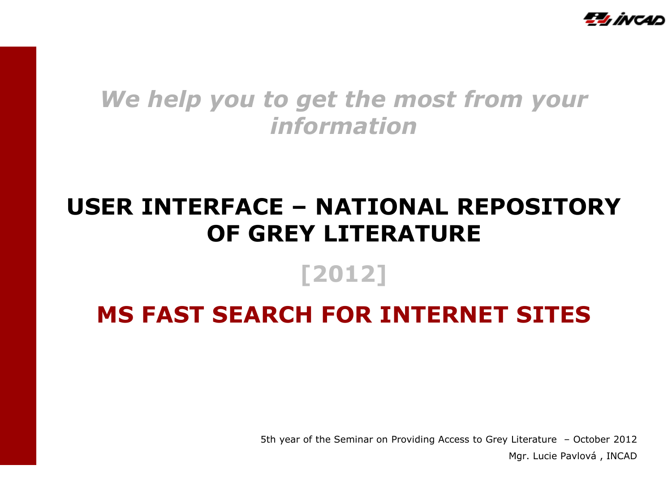

### *We help you to get the most from your information*

# **USER INTERFACE – NATIONAL REPOSITORY OF GREY LITERATURE**

## **[2012]**

# **MS FAST SEARCH FOR INTERNET SITES**

5th year of the Seminar on Providing Access to Grey Literature – October 2012 Mgr. Lucie Pavlová , INCAD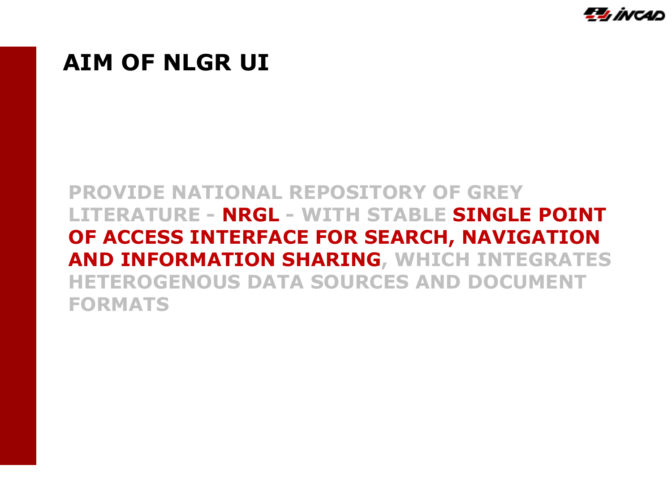

#### **AIM OF NLGR UI**

#### **PROVIDE NATIONAL REPOSITORY OF GREY LITERATURE - NRGL - WITH STABLE SINGLE POINT OF ACCESS INTERFACE FOR SEARCH, NAVIGATION AND INFORMATION SHARING, WHICH INTEGRATES HETEROGENOUS DATA SOURCES AND DOCUMENT FORMATS**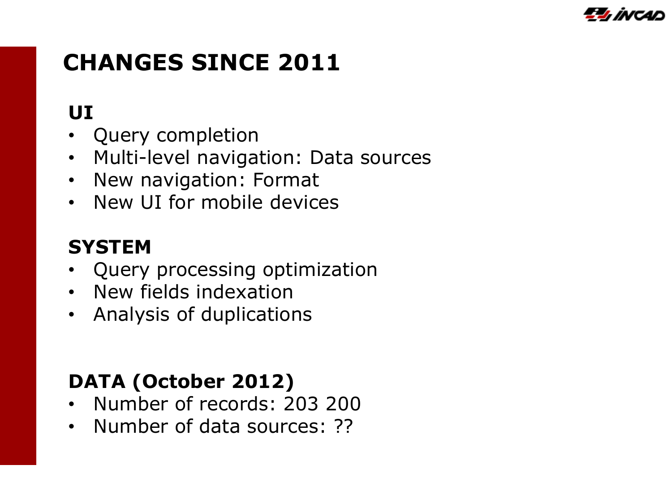

# **CHANGES SINCE 2011**

# **UI**

- Query completion
- Multi-level navigation: Data sources
- New navigation: Format
- New UI for mobile devices

### **SYSTEM**

- Query processing optimization
- New fields indexation
- Analysis of duplications

# **DATA (October 2012)**

- Number of records: 203 200
- Number of data sources: ??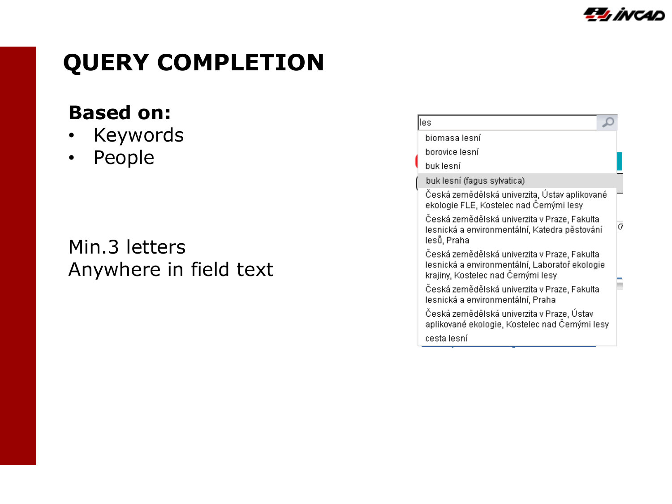

# **QUERY COMPLETION**

#### **Based on:**

- Keywords
- People

Min.3 letters Anywhere in field text

| les                                                                                                                                  |   |
|--------------------------------------------------------------------------------------------------------------------------------------|---|
| biomasa lesní                                                                                                                        |   |
| borovice lesní                                                                                                                       |   |
| buk lesní                                                                                                                            |   |
| buk lesní (fagus sylvatica)                                                                                                          |   |
| Česká zemědělská univerzita, Ústav aplikované<br>ekologie FLE, Kostelec nad Černými lesy                                             |   |
| Česká zemědělská univerzita v Praze, Fakulta<br>lesnická a environmentální, Katedra pěstování<br>lesů, Praha                         | a |
| Česká zemědělská univerzita v Praze, Fakulta<br>lesnická a environmentální, Laboratoř ekologie<br>krajiny, Kostelec nad Černými lesy |   |
| Česká zemědělská univerzita v Praze, Fakulta<br>lesnická a environmentální, Praha                                                    |   |
| Česká zemědělská univerzita v Praze, Ústav<br>aplikované ekologie, Kostelec nad Černými lesy                                         |   |
| cesta lesní                                                                                                                          |   |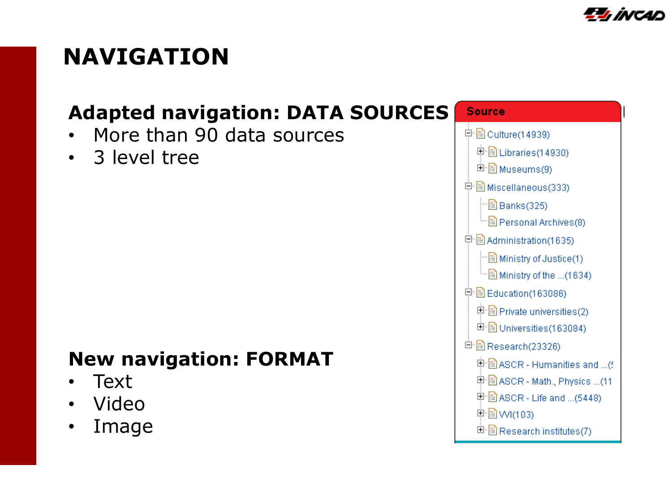

# **NAVIGATION**

#### **Adapted navigation: DATA SOURCES**

- More than 90 data sources
- 3 level tree

#### **New navigation: FORMAT**

- Text
- Video
- Image

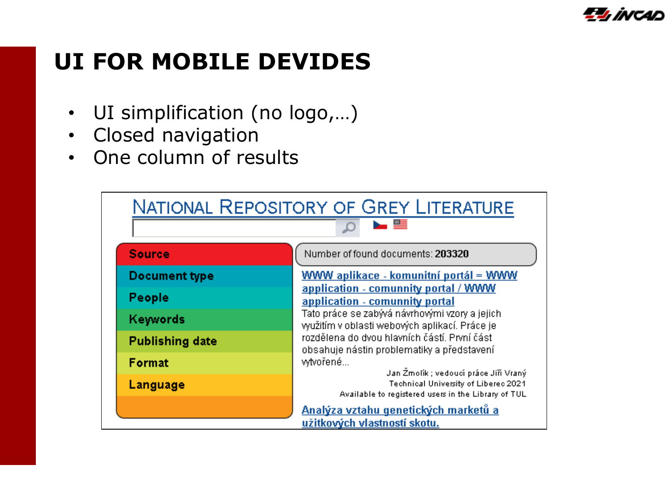

# **UI FOR MOBILE DEVIDES**

- UI simplification (no logo,…)
- Closed navigation
- One column of results

| <b>NATIONAL REPOSITORY OF GREY LITERATURE</b> |                                                                                                                                                                                                                                                |  |  |  |  |
|-----------------------------------------------|------------------------------------------------------------------------------------------------------------------------------------------------------------------------------------------------------------------------------------------------|--|--|--|--|
| No. 25                                        |                                                                                                                                                                                                                                                |  |  |  |  |
| <b>Source</b>                                 | Number of found documents: 203320                                                                                                                                                                                                              |  |  |  |  |
| Document type                                 | <b>WWW aplikace - komunitní portál = WWW</b>                                                                                                                                                                                                   |  |  |  |  |
| People                                        | application - comunnity portal / WWW<br>application - comunnity portal                                                                                                                                                                         |  |  |  |  |
| Keywords                                      | Tato práce se zabývá návrhovými vzory a jejich.<br>využitím v oblasti webových aplikací. Práce je                                                                                                                                              |  |  |  |  |
| <b>Publishing date</b>                        | rozdělena do dvou hlavních částí. První část<br>obsahuje nástin problematiky a představení<br>wtvořené<br>Jan Žmolík ; vedoucí práce Jiří Vraný<br>Technical University of Liberec 2021<br>Available to registered users in the Library of TUL |  |  |  |  |
| Format                                        |                                                                                                                                                                                                                                                |  |  |  |  |
| Language                                      |                                                                                                                                                                                                                                                |  |  |  |  |
|                                               | Analýza vztahu genetických marketů a<br>užitkových vlastností skotu.                                                                                                                                                                           |  |  |  |  |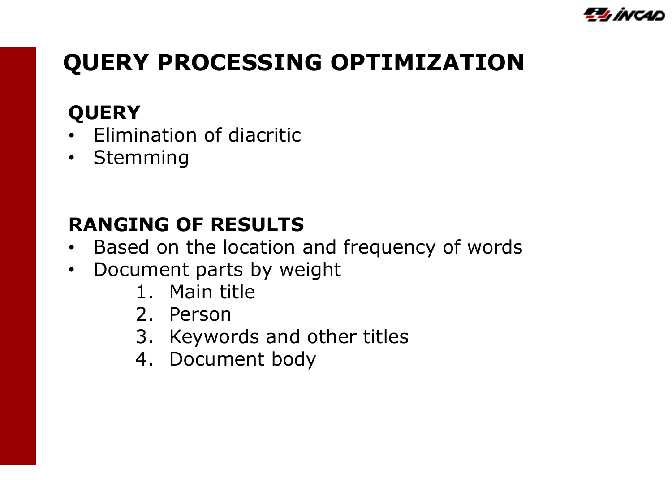

# **QUERY PROCESSING OPTIMIZATION**

### **QUERY**

- Elimination of diacritic
- Stemming

### **RANGING OF RESULTS**

- Based on the location and frequency of words
- Document parts by weight
	- 1. Main title
	- 2. Person
	- 3. Keywords and other titles
	- 4. Document body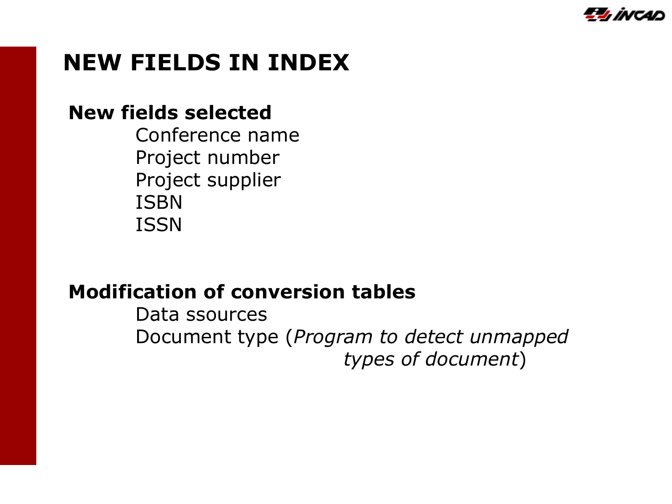

# **NEW FIELDS IN INDEX**

#### **New fields selected**

Conference name Project number Project supplier ISBN ISSN

#### **Modification of conversion tables**

Data ssources Document type (*Program to detect unmapped types of document*)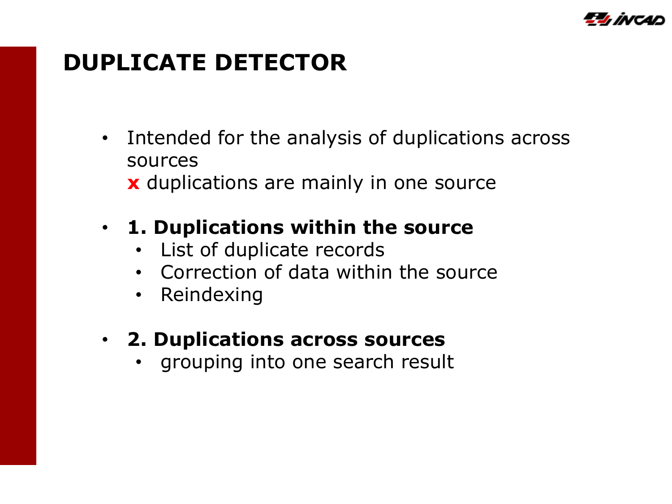

# **DUPLICATE DETECTOR**

• Intended for the analysis of duplications across sources  **x** duplications are mainly in one source

#### • **1. Duplications within the source**

- List of duplicate records
- Correction of data within the source
- Reindexing

### • **2. Duplications across sources**

• grouping into one search result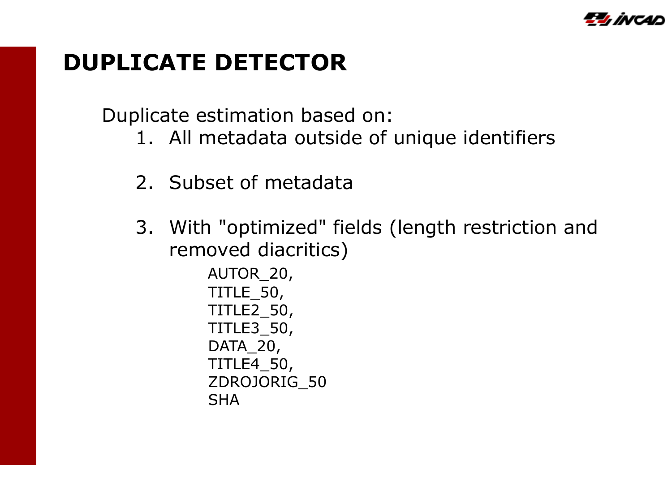

# **DUPLICATE DETECTOR**

Duplicate estimation based on:

- 1. All metadata outside of unique identifiers
- 2. Subset of metadata
- 3. With "optimized" fields (length restriction and removed diacritics)

 AUTOR\_20, TITLE\_50, TITLE2\_50, TITLE3\_50, DATA<sub>20</sub>, TITLE4\_50, ZDROJORIG\_50 **SHA**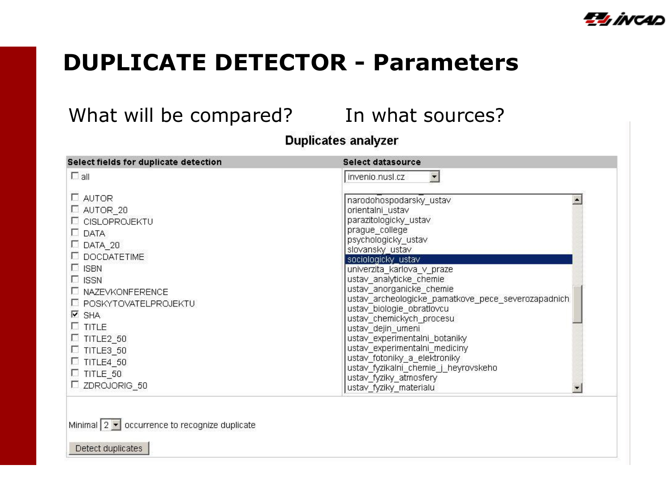

# **DUPLICATE DETECTOR - Parameters**

#### What will be compared? In what sources?

#### **Duplicates analyzer**

| Select fields for duplicate detection                                                                                                                                                                                                                                                                                 | Select datasource                                                                                                                                                                                                                                                                                                                                                                                                                                                                                                         |
|-----------------------------------------------------------------------------------------------------------------------------------------------------------------------------------------------------------------------------------------------------------------------------------------------------------------------|---------------------------------------------------------------------------------------------------------------------------------------------------------------------------------------------------------------------------------------------------------------------------------------------------------------------------------------------------------------------------------------------------------------------------------------------------------------------------------------------------------------------------|
| $\Box$ all                                                                                                                                                                                                                                                                                                            | invenio.nusl.cz                                                                                                                                                                                                                                                                                                                                                                                                                                                                                                           |
| $\square$ AUTOR<br>AUTOR 20<br>L CISLOPROJEKTU<br>$\square$ DATA<br>$\Box$ DATA_20<br><b>DOCDATETIME</b><br>$\Box$ ISBN<br>$\Box$ ISSN<br>LI NAZEVKONFERENCE<br><b>E POSKYTOVATELPROJEKTU</b><br>$\overline{V}$ SHA<br>$\square$ TITLE<br>$\Box$ TITLE2 50<br>$\Box$ TITLE3 50<br>$\Box$ TITLE4 50<br>$\Box$ TITLE 50 | narodohospodarsky_ustav<br>orientalni ustav<br>parazitologicky_ustav<br>prague college<br>psychologicky ustav<br>slovansky ustav<br>sociologicky ustav<br>univerzita karlova v praze<br>ustav_analyticke_chemie<br>ustav anorganicke chemie<br>ustav_archeologicke_pamatkove_pece_severozapadnich<br>ustav biologie obratlovcu<br>ustav chemickych procesu<br>ustav dejin umeni<br>ustav_experimentalni_botaniky<br>ustav experimentalni mediciny<br>ustav_fotoniky_a_elektroniky<br>ustav fyzikalni chemie j heyrovskeho |
| $\square$ ZDROJORIG_50                                                                                                                                                                                                                                                                                                | ustav fyziky atmosfery<br>ustav fyziky materialu                                                                                                                                                                                                                                                                                                                                                                                                                                                                          |

Minimal  $2 \times$  occurrence to recognize duplicate

Detect duplicates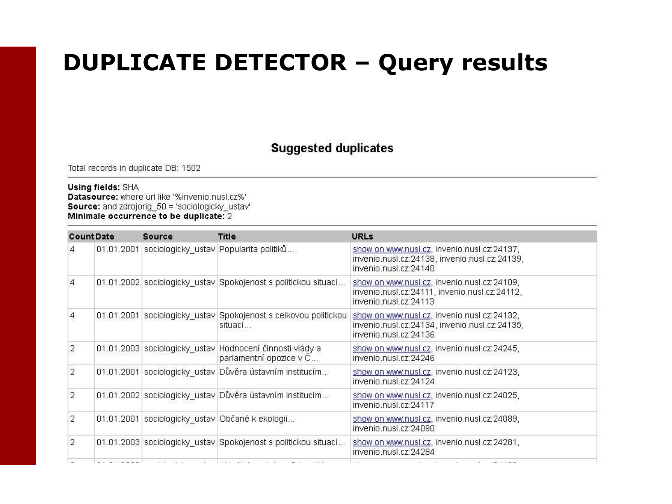# **DUPLICATE DETECTOR – Query results**

#### **Suggested duplicates**

Total records in duplicate DB: 1502

#### **Using fields: SHA**

Datasource: where url like '%invenio.nusl.cz%' **Source:** and zdrojorig 50 = 'sociologicky ustav' Minimale occurrence to be duplicate: 2

| Source           | <b>Title</b>            | <b>URLs</b>                                                                                                                                                                                                                                                                                                                                                                                                                                                                                     |
|------------------|-------------------------|-------------------------------------------------------------------------------------------------------------------------------------------------------------------------------------------------------------------------------------------------------------------------------------------------------------------------------------------------------------------------------------------------------------------------------------------------------------------------------------------------|
|                  |                         | show on www.nusl.cz, invenio.nusl.cz:24137,<br>invenio.nusl.cz:24138, invenio.nusl.cz:24139,<br>invenio nusl cz: 24140                                                                                                                                                                                                                                                                                                                                                                          |
|                  |                         | show on www.nusl.cz. invenio.nusl.cz:24109.<br>invenio.nusl.cz:24111, invenio.nusl.cz:24112,<br>invenio nusl.cz: 24113                                                                                                                                                                                                                                                                                                                                                                          |
|                  | situací                 | show on www.nusl.cz, invenio.nusl.cz:24132,<br>invenio.nusl.cz:24134, invenio.nusl.cz:24135,<br>invenio nusl cz: 24136                                                                                                                                                                                                                                                                                                                                                                          |
|                  | parlamentní opozice v Č | show on www.nusl.cz, invenio.nusl.cz:24245,<br>invenio.nusl.cz:24246                                                                                                                                                                                                                                                                                                                                                                                                                            |
|                  |                         | show on www.nusl.cz, invenio.nusl.cz:24123,<br>invenio.nusl.cz:24124                                                                                                                                                                                                                                                                                                                                                                                                                            |
|                  |                         | show on www.nusl.cz, invenio.nusl.cz:24025,<br>invenio.nusl.cz:24117                                                                                                                                                                                                                                                                                                                                                                                                                            |
|                  |                         | show on www.nusl.cz, invenio.nusl.cz:24089,<br>invenio.nusl.cz:24090                                                                                                                                                                                                                                                                                                                                                                                                                            |
|                  |                         | show on www.nusl.cz, invenio.nusl.cz:24281,<br>invenio.nusl.cz:24284                                                                                                                                                                                                                                                                                                                                                                                                                            |
| <b>CountDate</b> |                         | 01.01.2001 sociologicky_ustav Popularita politiků<br>01.01.2002 sociologicky ustav Spokojenost s politickou situací<br>01.01.2001 sociologicky ustav Spokojenost s celkovou politickou<br>01.01.2003 sociologicky_ustav Hodnocení činnosti vlády a<br>01.01.2001 sociologicky ustav Důvěra ústavním institucím<br>01.01.2002 sociologicky_ustav Důvěra ústavním institucím<br>01.01.2001 sociologicky_ustav Občané k ekologii<br>01.01.2003 sociologicky_ustav Spokojenost s politickou situací |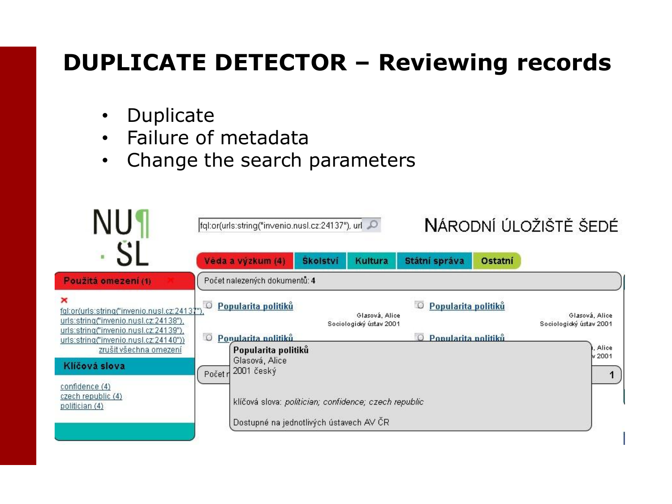# **DUPLICATE DETECTOR – Reviewing records**

- Duplicate
- Failure of metadata
- Change the search parameters

|                                                                                                                                                                                       | NÁRODNÍ ÚLOŽIŠTĚ ŠEDÉ<br>fql:or(urls:string("invenio.nusl.cz:24137"), url C                                                                                                     |                                           |
|---------------------------------------------------------------------------------------------------------------------------------------------------------------------------------------|---------------------------------------------------------------------------------------------------------------------------------------------------------------------------------|-------------------------------------------|
|                                                                                                                                                                                       | Věda a výzkum (4)<br><b>Skolství</b><br>Státní správa<br><b>Kultura</b><br>Ostatní                                                                                              |                                           |
| Použitá omezení (1)                                                                                                                                                                   | Počet nalezených dokumentů: 4                                                                                                                                                   |                                           |
| $\mathbf x$<br>fgl:or(urls:string("invenio.nusl.cz:24137")<br>urls:string("invenio.nusl.cz:24138"),<br>urls:string("invenio.nusl.cz:24139"),<br>urls:string("invenio.nusl.cz:24140")) | Popularita politiků<br>Popularita politiků<br>$\circ$<br>$\cup$<br>Glasová, Alice<br>Sociologický ústav 2001<br>$\circ$<br>Popularita politiků<br>Ponularita nolitiků<br>$\Box$ | Glasová, Alice<br>Sociologický ústav 2001 |
| zrušit všechna omezení                                                                                                                                                                | Popularita politiků                                                                                                                                                             | Alice<br>v2001                            |
| Klíčová slova                                                                                                                                                                         | Glasová, Alice<br>$2001$ český<br>Početr                                                                                                                                        |                                           |
| confidence (4)<br>czech republic (4)<br>politician (4)                                                                                                                                | klíčová slova: politician; confidence; czech republic<br>Dostupné na jednotlivých ústavech AV ČR                                                                                |                                           |
|                                                                                                                                                                                       |                                                                                                                                                                                 |                                           |